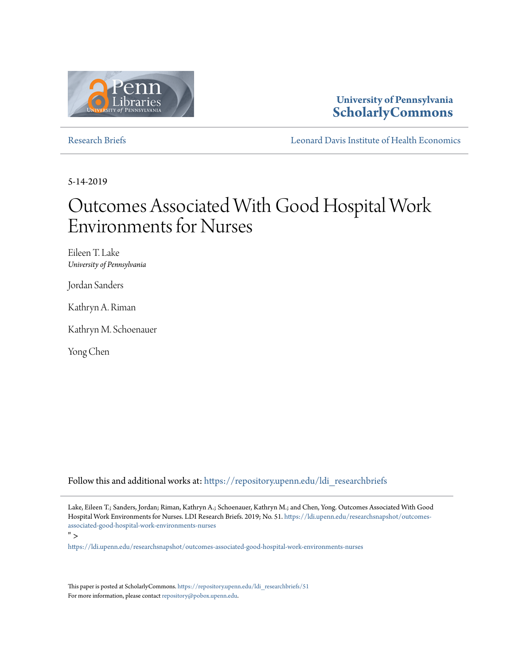

## **University of Pennsylvania [ScholarlyCommons](https://repository.upenn.edu?utm_source=repository.upenn.edu%2Fldi_researchbriefs%2F51&utm_medium=PDF&utm_campaign=PDFCoverPages)**

[Research Briefs](https://repository.upenn.edu/ldi_researchbriefs?utm_source=repository.upenn.edu%2Fldi_researchbriefs%2F51&utm_medium=PDF&utm_campaign=PDFCoverPages) [Leonard Davis Institute of Health Economics](https://repository.upenn.edu/ldi?utm_source=repository.upenn.edu%2Fldi_researchbriefs%2F51&utm_medium=PDF&utm_campaign=PDFCoverPages)

5-14-2019

# Outcomes Associated With Good Hospital Work Environments for Nurses

Eileen T. Lake *University of Pennsylvania*

Jordan Sanders

Kathryn A. Riman

Kathryn M. Schoenauer

Yong Chen

Follow this and additional works at: [https://repository.upenn.edu/ldi\\_researchbriefs](https://repository.upenn.edu/ldi_researchbriefs?utm_source=repository.upenn.edu%2Fldi_researchbriefs%2F51&utm_medium=PDF&utm_campaign=PDFCoverPages)

Lake, Eileen T.; Sanders, Jordan; Riman, Kathryn A.; Schoenauer, Kathryn M.; and Chen, Yong. Outcomes Associated With Good Hospital Work Environments for Nurses. LDI Research Briefs. 2019; No. 51. [https://ldi.upenn.edu/researchsnapshot/outcomes](<p><a href=)[associated-good-hospital-work-environments-nurses](<p><a href=)

 $"$ 

<https://ldi.upenn.edu/researchsnapshot/outcomes-associated-good-hospital-work-environments-nurses>

This paper is posted at ScholarlyCommons. [https://repository.upenn.edu/ldi\\_researchbriefs/51](https://repository.upenn.edu/ldi_researchbriefs/51) For more information, please contact [repository@pobox.upenn.edu.](mailto:repository@pobox.upenn.edu)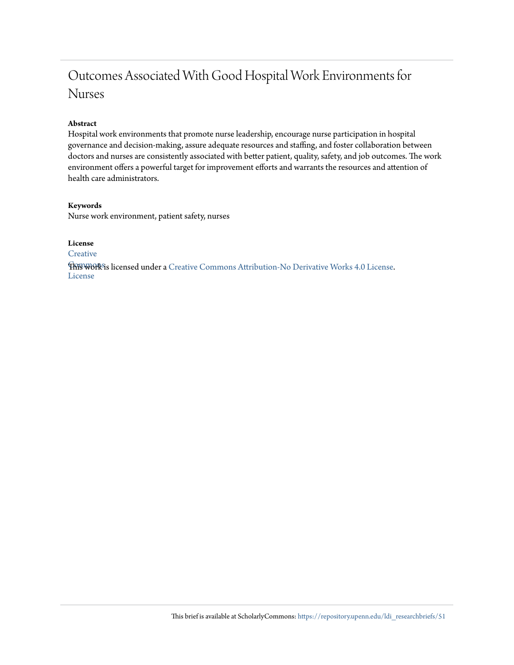## Outcomes Associated With Good Hospital Work Environments for Nurses

### **Abstract**

Hospital work environments that promote nurse leadership, encourage nurse participation in hospital governance and decision-making, assure adequate resources and staffing, and foster collaboration between doctors and nurses are consistently associated with better patient, quality, safety, and job outcomes. The work environment offers a powerful target for improvement efforts and warrants the resources and attention of health care administrators.

#### **Keywords**

Nurse work environment, patient safety, nurses

**License**

**[Creative](https://creativecommons.org/licenses/by-nd/4.0/)** 

**This work is licensed under a** [Creative Commons Attribution-No Derivative Works 4.0 License.](https://creativecommons.org/licenses/by-nd/4.0/) License